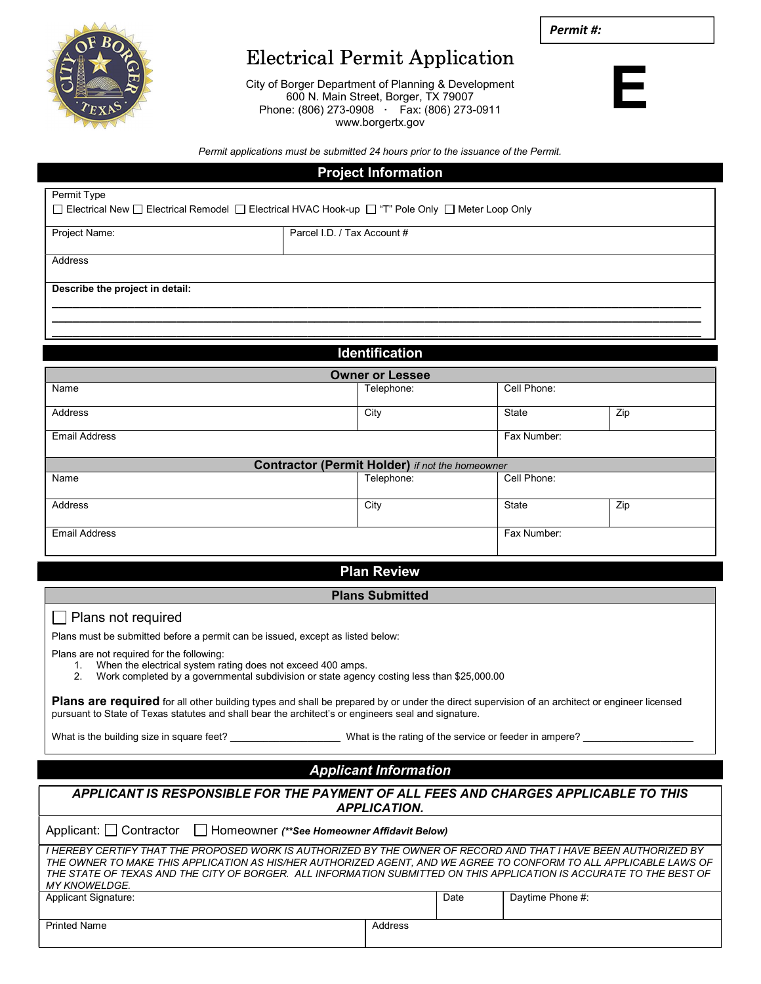Permit #:



# Electrical Permit Application

City of Borger Department of Planning & Development 600 N. Main Street, Borger, TX 79007 Phone: (806) 273-0908 · Fax: (806) 273-0911 www.borgertx.gov



Permit applications must be submitted 24 hours prior to the issuance of the Permit.

# Project Information

| Permit Type                                                                                       |                             |  |  |  |  |  |
|---------------------------------------------------------------------------------------------------|-----------------------------|--|--|--|--|--|
| □ Electrical New □ Electrical Remodel □ Electrical HVAC Hook-up □ "T" Pole Only □ Meter Loop Only |                             |  |  |  |  |  |
| Project Name:                                                                                     | Parcel I.D. / Tax Account # |  |  |  |  |  |
| Address                                                                                           |                             |  |  |  |  |  |
| Describe the project in detail:                                                                   |                             |  |  |  |  |  |
|                                                                                                   |                             |  |  |  |  |  |
|                                                                                                   |                             |  |  |  |  |  |

| <b>Identification</b>                                  |            |             |     |  |  |  |
|--------------------------------------------------------|------------|-------------|-----|--|--|--|
| <b>Owner or Lessee</b>                                 |            |             |     |  |  |  |
| Name                                                   | Telephone: | Cell Phone: |     |  |  |  |
| Address                                                | City       | State       | Zip |  |  |  |
| <b>Email Address</b>                                   |            | Fax Number: |     |  |  |  |
| <b>Contractor (Permit Holder)</b> if not the homeowner |            |             |     |  |  |  |
| Name                                                   | Telephone: | Cell Phone: |     |  |  |  |
| Address                                                | City       | State       | Zip |  |  |  |
| <b>Email Address</b>                                   |            | Fax Number: |     |  |  |  |

## Plan Review

#### Plans Submitted

### Plans not required

Plans must be submitted before a permit can be issued, except as listed below:

Plans are not required for the following:

- 1. When the electrical system rating does not exceed 400 amps.
- 2. Work completed by a governmental subdivision or state agency costing less than \$25,000.00

Plans are required for all other building types and shall be prepared by or under the direct supervision of an architect or engineer licensed pursuant to State of Texas statutes and shall bear the architect's or engineers seal and signature.

What is the building size in square feet? \_\_\_\_\_\_\_\_\_\_\_\_\_\_\_\_\_\_\_\_\_\_\_\_\_What is the rating of the service or feeder in ampere?

# Applicant Information

| APPLICANT IS RESPONSIBLE FOR THE PAYMENT OF ALL FEES AND CHARGES APPLICABLE TO THIS<br><b>APPLICATION.</b>                                                                                                                                                                                                                                                                           |         |      |                  |  |  |  |
|--------------------------------------------------------------------------------------------------------------------------------------------------------------------------------------------------------------------------------------------------------------------------------------------------------------------------------------------------------------------------------------|---------|------|------------------|--|--|--|
| Applicant: Contractor Filmeowner (**See Homeowner Affidavit Below)                                                                                                                                                                                                                                                                                                                   |         |      |                  |  |  |  |
| I HEREBY CERTIFY THAT THE PROPOSED WORK IS AUTHORIZED BY THE OWNER OF RECORD AND THAT I HAVE BEEN AUTHORIZED BY<br>THE OWNER TO MAKE THIS APPLICATION AS HIS/HER AUTHORIZED AGENT. AND WE AGREE TO CONFORM TO ALL APPLICABLE LAWS OF<br>THE STATE OF TEXAS AND THE CITY OF BORGER.  ALL INFORMATION SUBMITTED ON THIS APPLICATION IS ACCURATE TO THE BEST OF<br><i>MY KNOWELDGE.</i> |         |      |                  |  |  |  |
| <b>Applicant Signature:</b>                                                                                                                                                                                                                                                                                                                                                          |         | Date | Daytime Phone #: |  |  |  |
| <b>Printed Name</b>                                                                                                                                                                                                                                                                                                                                                                  | Address |      |                  |  |  |  |